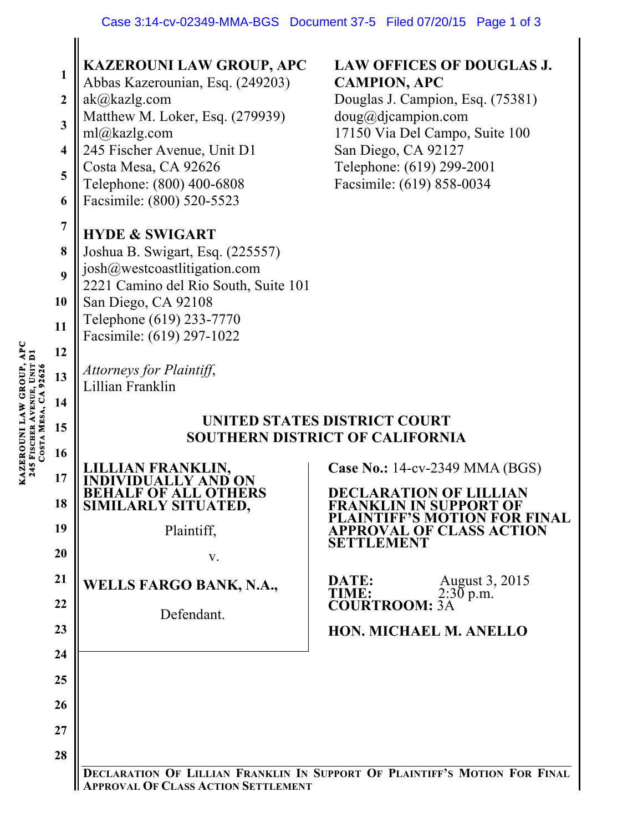|                      | 1<br>$\boldsymbol{2}$<br>3<br>4<br>5<br>6<br>$\overline{7}$<br>8<br>9<br>10<br>11<br>12<br>13 | <b>KAZEROUNI LAW GROUP, APC</b><br>Abbas Kazerounian, Esq. (249203)<br>ak@kazlg.com<br>Matthew M. Loker, Esq. (279939)<br>ml@kazlg.com<br>245 Fischer Avenue, Unit D1<br>Costa Mesa, CA 92626<br>Telephone: (800) 400-6808<br>Facsimile: (800) 520-5523<br><b>HYDE &amp; SWIGART</b><br>Joshua B. Swigart, Esq. (225557)<br>josh@westcoastlitigation.com<br>2221 Camino del Rio South, Suite 101<br>San Diego, CA 92108<br>Telephone (619) 233-7770<br>Facsimile: (619) 297-1022<br>Attorneys for Plaintiff, | <b>LAW OFFICES OF DOUGLAS J.</b><br><b>CAMPION, APC</b><br>Douglas J. Campion, Esq. (75381)<br>doug@djaampion.com<br>17150 Via Del Campo, Suite 100<br>San Diego, CA 92127<br>Telephone: (619) 299-2001<br>Facsimile: (619) 858-0034 |  |
|----------------------|-----------------------------------------------------------------------------------------------|--------------------------------------------------------------------------------------------------------------------------------------------------------------------------------------------------------------------------------------------------------------------------------------------------------------------------------------------------------------------------------------------------------------------------------------------------------------------------------------------------------------|--------------------------------------------------------------------------------------------------------------------------------------------------------------------------------------------------------------------------------------|--|
|                      |                                                                                               |                                                                                                                                                                                                                                                                                                                                                                                                                                                                                                              |                                                                                                                                                                                                                                      |  |
|                      |                                                                                               |                                                                                                                                                                                                                                                                                                                                                                                                                                                                                                              |                                                                                                                                                                                                                                      |  |
|                      |                                                                                               |                                                                                                                                                                                                                                                                                                                                                                                                                                                                                                              |                                                                                                                                                                                                                                      |  |
|                      |                                                                                               |                                                                                                                                                                                                                                                                                                                                                                                                                                                                                                              |                                                                                                                                                                                                                                      |  |
|                      |                                                                                               |                                                                                                                                                                                                                                                                                                                                                                                                                                                                                                              |                                                                                                                                                                                                                                      |  |
|                      | 14                                                                                            | Lillian Franklin                                                                                                                                                                                                                                                                                                                                                                                                                                                                                             |                                                                                                                                                                                                                                      |  |
| COSTA MESA, CA 92626 | 15                                                                                            | <b>UNITED STATES DISTRICT COURT</b><br>SOUTHERN DISTRICT OF CALIFORNIA                                                                                                                                                                                                                                                                                                                                                                                                                                       |                                                                                                                                                                                                                                      |  |
|                      |                                                                                               |                                                                                                                                                                                                                                                                                                                                                                                                                                                                                                              |                                                                                                                                                                                                                                      |  |
|                      | 16<br>17                                                                                      | N FRANKLIN.                                                                                                                                                                                                                                                                                                                                                                                                                                                                                                  | <b>Case No.: 14-cv-2349 MMA (BGS)</b>                                                                                                                                                                                                |  |
|                      | 18                                                                                            | <b>BEHALF OF ALL OTHERS</b><br>SIMILARLY SITUATED,                                                                                                                                                                                                                                                                                                                                                                                                                                                           | <b>DECLARATION OF LILLIAN</b><br><b>FRANKLIN IN SUPPORT OF</b>                                                                                                                                                                       |  |
|                      | 19                                                                                            | Plaintiff,                                                                                                                                                                                                                                                                                                                                                                                                                                                                                                   | <b>PLAINTIFF'S MOTION FOR FINAL</b><br><b>APPROVAL OF CLASS ACTION</b><br>SETTLEMENT                                                                                                                                                 |  |
|                      | 20                                                                                            | V.                                                                                                                                                                                                                                                                                                                                                                                                                                                                                                           |                                                                                                                                                                                                                                      |  |
|                      | 21                                                                                            | <b>WELLS FARGO BANK, N.A.,</b>                                                                                                                                                                                                                                                                                                                                                                                                                                                                               | August 3, 2015<br>DATE:<br>$2:30$ p.m.<br>TIME:                                                                                                                                                                                      |  |
|                      | 22<br>23                                                                                      | Defendant.                                                                                                                                                                                                                                                                                                                                                                                                                                                                                                   | <b>COURTROOM: 3A</b>                                                                                                                                                                                                                 |  |
|                      | 24                                                                                            |                                                                                                                                                                                                                                                                                                                                                                                                                                                                                                              | HON. MICHAEL M. ANELLO                                                                                                                                                                                                               |  |
|                      | 25                                                                                            |                                                                                                                                                                                                                                                                                                                                                                                                                                                                                                              |                                                                                                                                                                                                                                      |  |
|                      | 26                                                                                            |                                                                                                                                                                                                                                                                                                                                                                                                                                                                                                              |                                                                                                                                                                                                                                      |  |
|                      | 27                                                                                            |                                                                                                                                                                                                                                                                                                                                                                                                                                                                                                              |                                                                                                                                                                                                                                      |  |
|                      | 28                                                                                            |                                                                                                                                                                                                                                                                                                                                                                                                                                                                                                              | DECLARATION OF LILLIAN FRANKLIN IN SUPPORT OF PLAINTIFF'S MOTION FOR FINAL                                                                                                                                                           |  |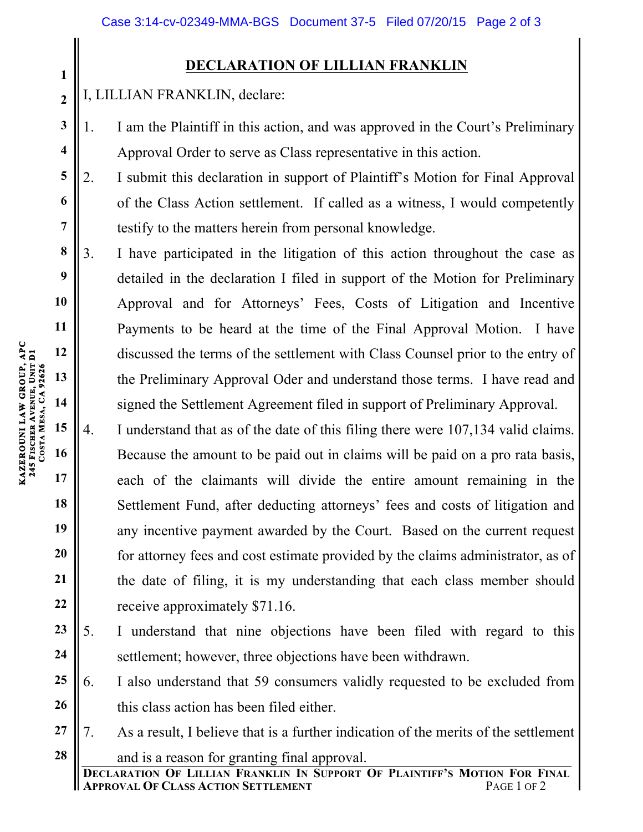## **DECLARATION OF LILLIAN FRANKLIN**

I, LILLIAN FRANKLIN, declare:

1. I am the Plaintiff in this action, and was approved in the Court's Preliminary Approval Order to serve as Class representative in this action.

2. I submit this declaration in support of Plaintiff's Motion for Final Approval of the Class Action settlement. If called as a witness, I would competently testify to the matters herein from personal knowledge.

3. I have participated in the litigation of this action throughout the case as detailed in the declaration I filed in support of the Motion for Preliminary Approval and for Attorneys' Fees, Costs of Litigation and Incentive Payments to be heard at the time of the Final Approval Motion. I have discussed the terms of the settlement with Class Counsel prior to the entry of the Preliminary Approval Oder and understand those terms. I have read and signed the Settlement Agreement filed in support of Preliminary Approval.

4. I understand that as of the date of this filing there were 107,134 valid claims. Because the amount to be paid out in claims will be paid on a pro rata basis, each of the claimants will divide the entire amount remaining in the Settlement Fund, after deducting attorneys' fees and costs of litigation and any incentive payment awarded by the Court. Based on the current request for attorney fees and cost estimate provided by the claims administrator, as of the date of filing, it is my understanding that each class member should receive approximately \$71.16.

**23 24** 5. I understand that nine objections have been filed with regard to this settlement; however, three objections have been withdrawn.

**25 26** 6. I also understand that 59 consumers validly requested to be excluded from this class action has been filed either.

**27 28** 7. As a result, I believe that is a further indication of the merits of the settlement and is a reason for granting final approval.

**1**

**2**

**3**

**4**

**5**

**6**

**7**

**8**

**9**

**10**

**11**

**12**

**13**

**14**

**15**

**16**

**17**

**18**

**19**

**20**

**21**

**22**